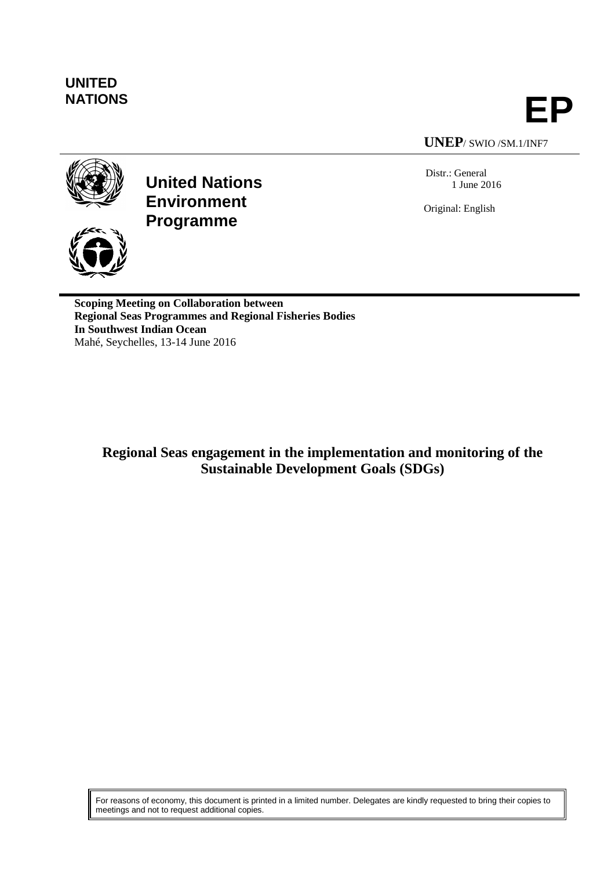# **UNITED**

**NATIONS EP**

**UNEP**/ SWIO /SM.1/INF7

Distr.: General 1 June 2016

Original: English



**United Nations Environment Programme**

**Scoping Meeting on Collaboration between Regional Seas Programmes and Regional Fisheries Bodies In Southwest Indian Ocean** Mahé, Seychelles, 13-14 June 2016

**Regional Seas engagement in the implementation and monitoring of the Sustainable Development Goals (SDGs)**

For reasons of economy, this document is printed in a limited number. Delegates are kindly requested to bring their copies to meetings and not to request additional copies.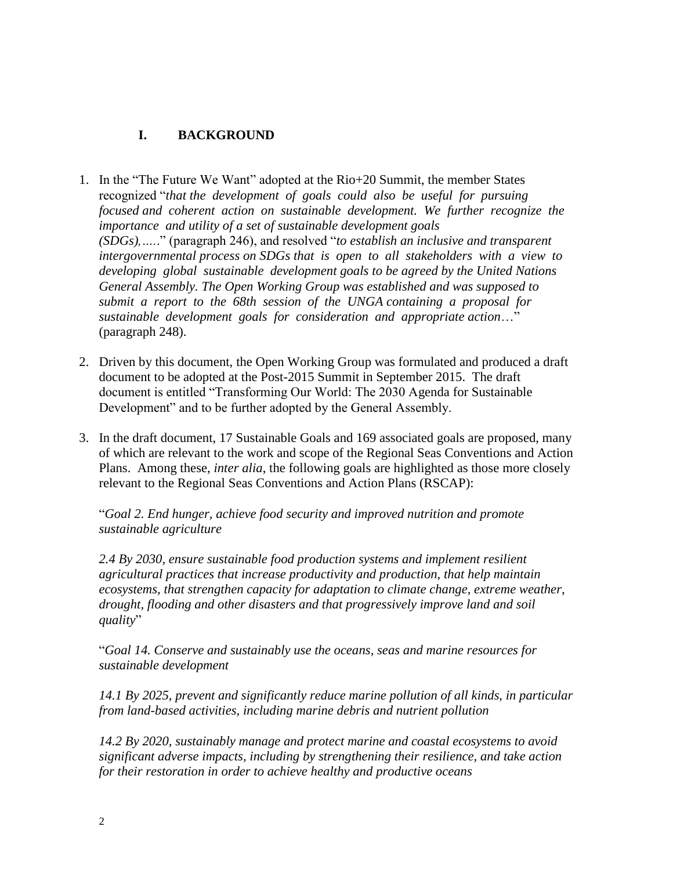# **I. BACKGROUND**

- 1. In the "The Future We Want" adopted at the Rio+20 Summit, the member States recognized "*that the development of goals could also be useful for pursuing focused and coherent action on sustainable development. We further recognize the importance and utility of a set of sustainable development goals (SDGs),….*." (paragraph 246), and resolved "*to establish an inclusive and transparent intergovernmental process on SDGs that is open to all stakeholders with a view to developing global sustainable development goals to be agreed by the United Nations General Assembly. The Open Working Group was established and was supposed to submit a report to the 68th session of the UNGA containing a proposal for sustainable development goals for consideration and appropriate action*…" (paragraph 248).
- 2. Driven by this document, the Open Working Group was formulated and produced a draft document to be adopted at the Post-2015 Summit in September 2015. The draft document is entitled "Transforming Our World: The 2030 Agenda for Sustainable Development" and to be further adopted by the General Assembly.
- 3. In the draft document, 17 Sustainable Goals and 169 associated goals are proposed, many of which are relevant to the work and scope of the Regional Seas Conventions and Action Plans. Among these, *inter alia*, the following goals are highlighted as those more closely relevant to the Regional Seas Conventions and Action Plans (RSCAP):

"*Goal 2. End hunger, achieve food security and improved nutrition and promote sustainable agriculture*

*2.4 By 2030, ensure sustainable food production systems and implement resilient agricultural practices that increase productivity and production, that help maintain ecosystems, that strengthen capacity for adaptation to climate change, extreme weather, drought, flooding and other disasters and that progressively improve land and soil quality*"

"*Goal 14. Conserve and sustainably use the oceans, seas and marine resources for sustainable development*

*14.1 By 2025, prevent and significantly reduce marine pollution of all kinds, in particular from land-based activities, including marine debris and nutrient pollution*

*14.2 By 2020, sustainably manage and protect marine and coastal ecosystems to avoid significant adverse impacts, including by strengthening their resilience, and take action for their restoration in order to achieve healthy and productive oceans*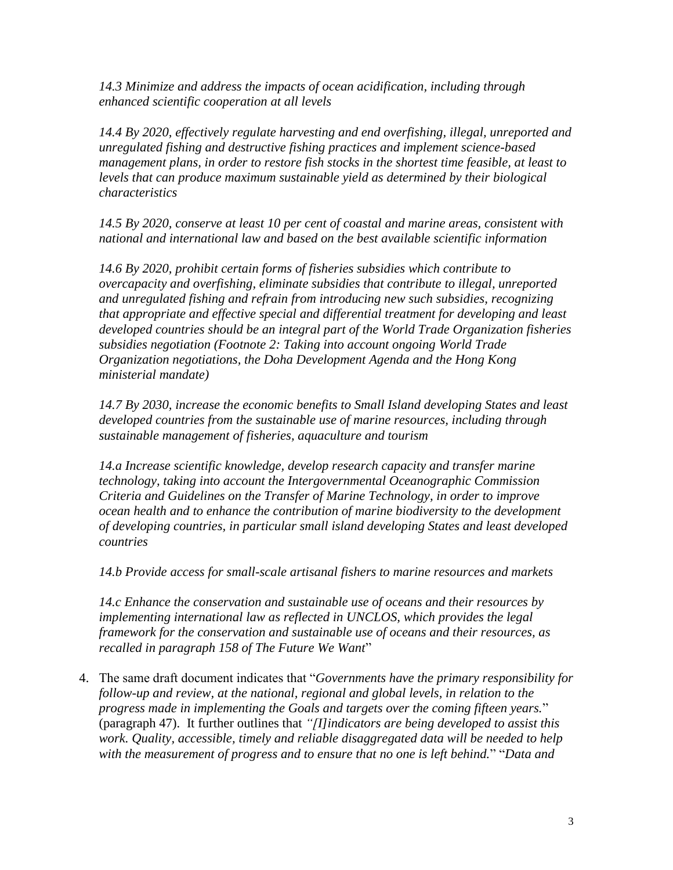*14.3 Minimize and address the impacts of ocean acidification, including through enhanced scientific cooperation at all levels*

*14.4 By 2020, effectively regulate harvesting and end overfishing, illegal, unreported and unregulated fishing and destructive fishing practices and implement science-based management plans, in order to restore fish stocks in the shortest time feasible, at least to levels that can produce maximum sustainable yield as determined by their biological characteristics*

*14.5 By 2020, conserve at least 10 per cent of coastal and marine areas, consistent with national and international law and based on the best available scientific information*

*14.6 By 2020, prohibit certain forms of fisheries subsidies which contribute to overcapacity and overfishing, eliminate subsidies that contribute to illegal, unreported and unregulated fishing and refrain from introducing new such subsidies, recognizing that appropriate and effective special and differential treatment for developing and least developed countries should be an integral part of the World Trade Organization fisheries subsidies negotiation (Footnote 2: Taking into account ongoing World Trade Organization negotiations, the Doha Development Agenda and the Hong Kong ministerial mandate)*

*14.7 By 2030, increase the economic benefits to Small Island developing States and least developed countries from the sustainable use of marine resources, including through sustainable management of fisheries, aquaculture and tourism*

*14.a Increase scientific knowledge, develop research capacity and transfer marine technology, taking into account the Intergovernmental Oceanographic Commission Criteria and Guidelines on the Transfer of Marine Technology, in order to improve ocean health and to enhance the contribution of marine biodiversity to the development of developing countries, in particular small island developing States and least developed countries*

*14.b Provide access for small-scale artisanal fishers to marine resources and markets*

*14.c Enhance the conservation and sustainable use of oceans and their resources by implementing international law as reflected in UNCLOS, which provides the legal framework for the conservation and sustainable use of oceans and their resources, as recalled in paragraph 158 of The Future We Want*"

4. The same draft document indicates that "*Governments have the primary responsibility for follow-up and review, at the national, regional and global levels, in relation to the progress made in implementing the Goals and targets over the coming fifteen years.*" (paragraph 47). It further outlines that *"[I]indicators are being developed to assist this work. Quality, accessible, timely and reliable disaggregated data will be needed to help with the measurement of progress and to ensure that no one is left behind.*" "*Data and*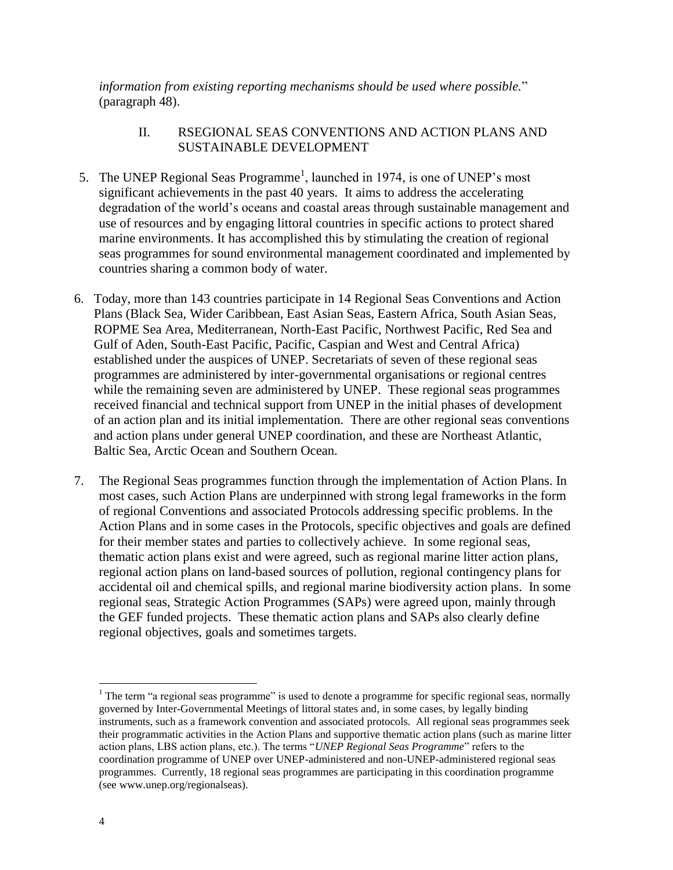*information from existing reporting mechanisms should be used where possible.*" (paragraph 48).

## II. RSEGIONAL SEAS CONVENTIONS AND ACTION PLANS AND SUSTAINABLE DEVELOPMENT

- 5. The UNEP Regional Seas Programme<sup>1</sup>, launched in 1974, is one of UNEP's most significant achievements in the past 40 years. It aims to address the accelerating degradation of the world's oceans and coastal areas through sustainable management and use of resources and by engaging littoral countries in specific actions to protect shared marine environments. It has accomplished this by stimulating the creation of regional seas programmes for sound environmental management coordinated and implemented by countries sharing a common body of water.
- 6. Today, more than 143 countries participate in 14 Regional Seas Conventions and Action Plans (Black Sea, Wider Caribbean, East Asian Seas, Eastern Africa, South Asian Seas, ROPME Sea Area, Mediterranean, North-East Pacific, Northwest Pacific, Red Sea and Gulf of Aden, South-East Pacific, Pacific, Caspian and West and Central Africa) established under the auspices of UNEP. Secretariats of seven of these regional seas programmes are administered by inter-governmental organisations or regional centres while the remaining seven are administered by UNEP. These regional seas programmes received financial and technical support from UNEP in the initial phases of development of an action plan and its initial implementation. There are other regional seas conventions and action plans under general UNEP coordination, and these are Northeast Atlantic, Baltic Sea, Arctic Ocean and Southern Ocean.
- 7. The Regional Seas programmes function through the implementation of Action Plans. In most cases, such Action Plans are underpinned with strong legal frameworks in the form of regional Conventions and associated Protocols addressing specific problems. In the Action Plans and in some cases in the Protocols, specific objectives and goals are defined for their member states and parties to collectively achieve. In some regional seas, thematic action plans exist and were agreed, such as regional marine litter action plans, regional action plans on land-based sources of pollution, regional contingency plans for accidental oil and chemical spills, and regional marine biodiversity action plans. In some regional seas, Strategic Action Programmes (SAPs) were agreed upon, mainly through the GEF funded projects. These thematic action plans and SAPs also clearly define regional objectives, goals and sometimes targets.

 $\overline{a}$ 

 $1$  The term "a regional seas programme" is used to denote a programme for specific regional seas, normally governed by Inter-Governmental Meetings of littoral states and, in some cases, by legally binding instruments, such as a framework convention and associated protocols. All regional seas programmes seek their programmatic activities in the Action Plans and supportive thematic action plans (such as marine litter action plans, LBS action plans, etc.). The terms "*UNEP Regional Seas Programme*" refers to the coordination programme of UNEP over UNEP-administered and non-UNEP-administered regional seas programmes. Currently, 18 regional seas programmes are participating in this coordination programme (see www.unep.org/regionalseas).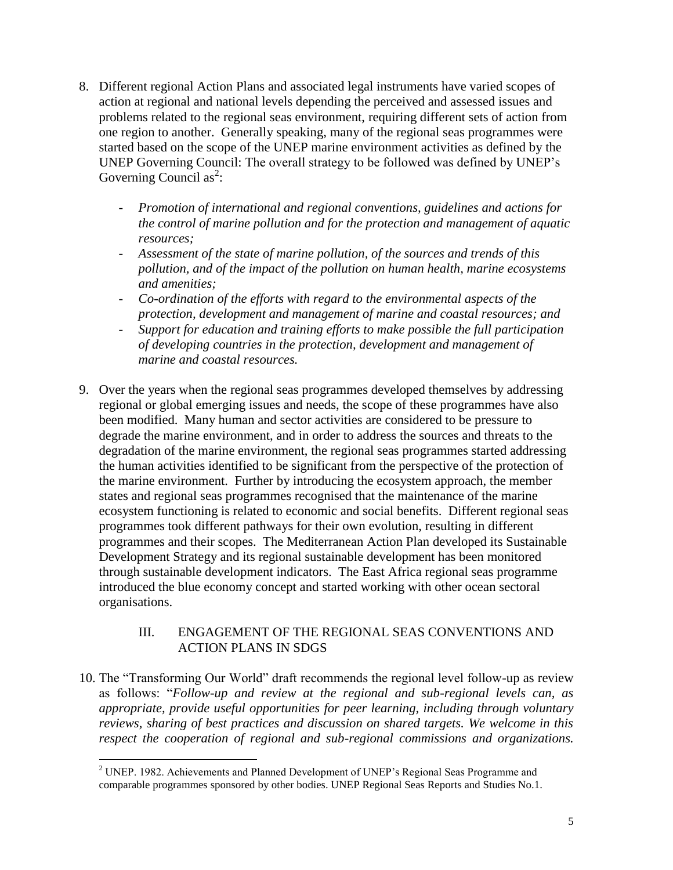- 8. Different regional Action Plans and associated legal instruments have varied scopes of action at regional and national levels depending the perceived and assessed issues and problems related to the regional seas environment, requiring different sets of action from one region to another. Generally speaking, many of the regional seas programmes were started based on the scope of the UNEP marine environment activities as defined by the UNEP Governing Council: The overall strategy to be followed was defined by UNEP's Governing Council as<sup>2</sup>:
	- *Promotion of international and regional conventions, guidelines and actions for the control of marine pollution and for the protection and management of aquatic resources;*
	- *Assessment of the state of marine pollution, of the sources and trends of this pollution, and of the impact of the pollution on human health, marine ecosystems and amenities;*
	- *Co-ordination of the efforts with regard to the environmental aspects of the protection, development and management of marine and coastal resources; and*
	- *Support for education and training efforts to make possible the full participation of developing countries in the protection, development and management of marine and coastal resources.*
- 9. Over the years when the regional seas programmes developed themselves by addressing regional or global emerging issues and needs, the scope of these programmes have also been modified. Many human and sector activities are considered to be pressure to degrade the marine environment, and in order to address the sources and threats to the degradation of the marine environment, the regional seas programmes started addressing the human activities identified to be significant from the perspective of the protection of the marine environment. Further by introducing the ecosystem approach, the member states and regional seas programmes recognised that the maintenance of the marine ecosystem functioning is related to economic and social benefits. Different regional seas programmes took different pathways for their own evolution, resulting in different programmes and their scopes. The Mediterranean Action Plan developed its Sustainable Development Strategy and its regional sustainable development has been monitored through sustainable development indicators. The East Africa regional seas programme introduced the blue economy concept and started working with other ocean sectoral organisations.

#### III. ENGAGEMENT OF THE REGIONAL SEAS CONVENTIONS AND ACTION PLANS IN SDGS

10. The "Transforming Our World" draft recommends the regional level follow-up as review as follows: "*Follow-up and review at the regional and sub-regional levels can, as appropriate, provide useful opportunities for peer learning, including through voluntary reviews, sharing of best practices and discussion on shared targets. We welcome in this respect the cooperation of regional and sub-regional commissions and organizations.* 

 $\overline{a}$ <sup>2</sup> UNEP. 1982. Achievements and Planned Development of UNEP's Regional Seas Programme and comparable programmes sponsored by other bodies. UNEP Regional Seas Reports and Studies No.1.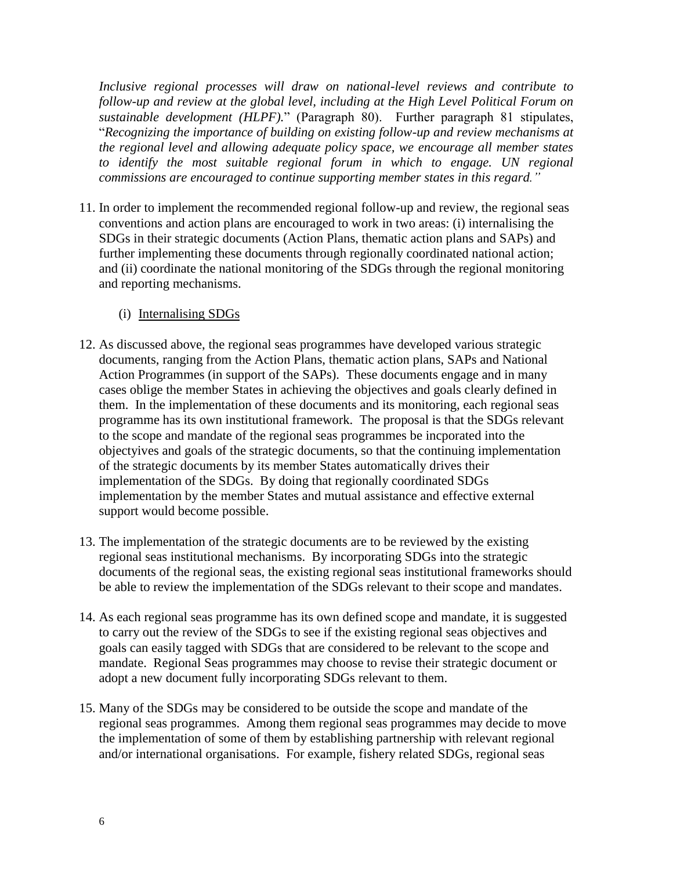*Inclusive regional processes will draw on national-level reviews and contribute to follow-up and review at the global level, including at the High Level Political Forum on sustainable development (HLPF).*" (Paragraph 80). Further paragraph 81 stipulates, "*Recognizing the importance of building on existing follow-up and review mechanisms at the regional level and allowing adequate policy space, we encourage all member states*  to identify the most suitable regional forum in which to engage. UN regional *commissions are encouraged to continue supporting member states in this regard."*

11. In order to implement the recommended regional follow-up and review, the regional seas conventions and action plans are encouraged to work in two areas: (i) internalising the SDGs in their strategic documents (Action Plans, thematic action plans and SAPs) and further implementing these documents through regionally coordinated national action; and (ii) coordinate the national monitoring of the SDGs through the regional monitoring and reporting mechanisms.

#### (i) Internalising SDGs

- 12. As discussed above, the regional seas programmes have developed various strategic documents, ranging from the Action Plans, thematic action plans, SAPs and National Action Programmes (in support of the SAPs). These documents engage and in many cases oblige the member States in achieving the objectives and goals clearly defined in them. In the implementation of these documents and its monitoring, each regional seas programme has its own institutional framework. The proposal is that the SDGs relevant to the scope and mandate of the regional seas programmes be incporated into the objectyives and goals of the strategic documents, so that the continuing implementation of the strategic documents by its member States automatically drives their implementation of the SDGs. By doing that regionally coordinated SDGs implementation by the member States and mutual assistance and effective external support would become possible.
- 13. The implementation of the strategic documents are to be reviewed by the existing regional seas institutional mechanisms. By incorporating SDGs into the strategic documents of the regional seas, the existing regional seas institutional frameworks should be able to review the implementation of the SDGs relevant to their scope and mandates.
- 14. As each regional seas programme has its own defined scope and mandate, it is suggested to carry out the review of the SDGs to see if the existing regional seas objectives and goals can easily tagged with SDGs that are considered to be relevant to the scope and mandate. Regional Seas programmes may choose to revise their strategic document or adopt a new document fully incorporating SDGs relevant to them.
- 15. Many of the SDGs may be considered to be outside the scope and mandate of the regional seas programmes. Among them regional seas programmes may decide to move the implementation of some of them by establishing partnership with relevant regional and/or international organisations. For example, fishery related SDGs, regional seas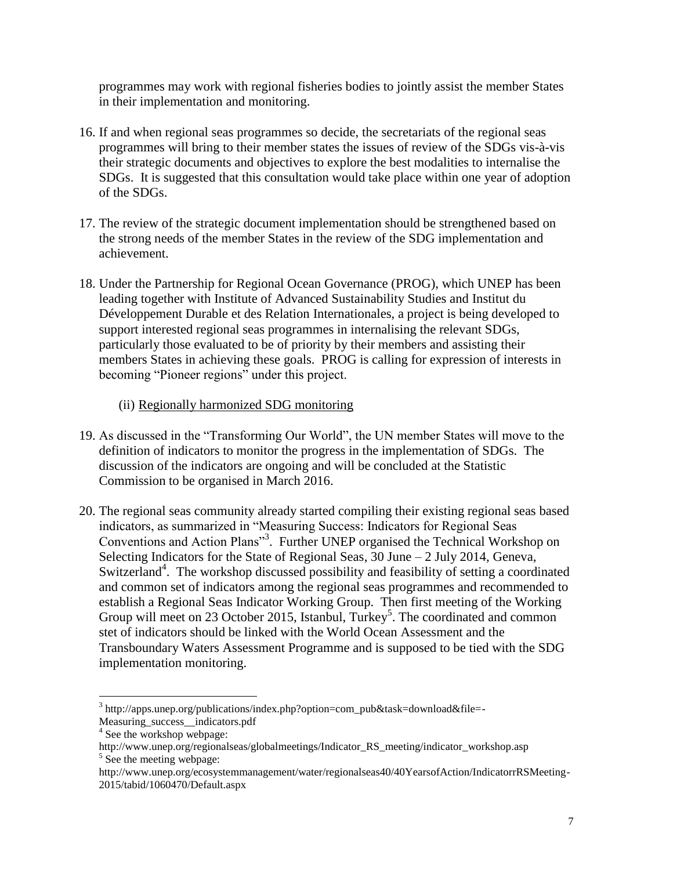programmes may work with regional fisheries bodies to jointly assist the member States in their implementation and monitoring.

- 16. If and when regional seas programmes so decide, the secretariats of the regional seas programmes will bring to their member states the issues of review of the SDGs vis-à-vis their strategic documents and objectives to explore the best modalities to internalise the SDGs. It is suggested that this consultation would take place within one year of adoption of the SDGs.
- 17. The review of the strategic document implementation should be strengthened based on the strong needs of the member States in the review of the SDG implementation and achievement.
- 18. Under the Partnership for Regional Ocean Governance (PROG), which UNEP has been leading together with Institute of Advanced Sustainability Studies and Institut du Développement Durable et des Relation Internationales, a project is being developed to support interested regional seas programmes in internalising the relevant SDGs, particularly those evaluated to be of priority by their members and assisting their members States in achieving these goals. PROG is calling for expression of interests in becoming "Pioneer regions" under this project.
	- (ii) Regionally harmonized SDG monitoring
- 19. As discussed in the "Transforming Our World", the UN member States will move to the definition of indicators to monitor the progress in the implementation of SDGs. The discussion of the indicators are ongoing and will be concluded at the Statistic Commission to be organised in March 2016.
- 20. The regional seas community already started compiling their existing regional seas based indicators, as summarized in "Measuring Success: Indicators for Regional Seas Conventions and Action Plans"<sup>3</sup>. Further UNEP organised the Technical Workshop on Selecting Indicators for the State of Regional Seas,  $30$  June  $-2$  July 2014, Geneva, Switzerland<sup>4</sup>. The workshop discussed possibility and feasibility of setting a coordinated and common set of indicators among the regional seas programmes and recommended to establish a Regional Seas Indicator Working Group. Then first meeting of the Working Group will meet on 23 October 2015, Istanbul, Turkey<sup>5</sup>. The coordinated and common stet of indicators should be linked with the World Ocean Assessment and the Transboundary Waters Assessment Programme and is supposed to be tied with the SDG implementation monitoring.

 $\overline{a}$ <sup>3</sup> http://apps.unep.org/publications/index.php?option=com\_pub&task=download&file=-Measuring success indicators.pdf

<sup>4</sup> See the workshop webpage:

http://www.unep.org/regionalseas/globalmeetings/Indicator\_RS\_meeting/indicator\_workshop.asp <sup>5</sup> See the meeting webpage:

http://www.unep.org/ecosystemmanagement/water/regionalseas40/40YearsofAction/IndicatorrRSMeeting-2015/tabid/1060470/Default.aspx